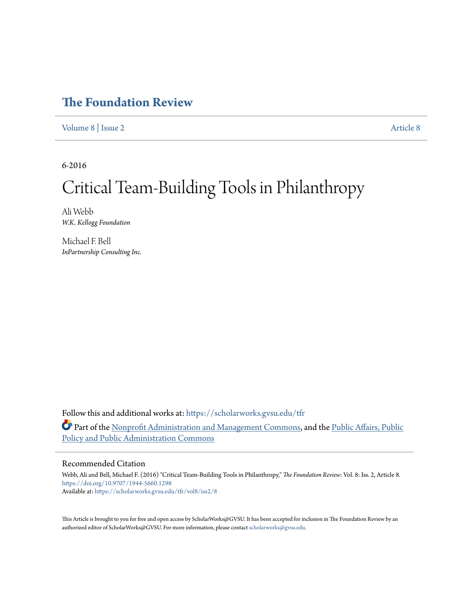## **The Foundation Review**

Volume 8 | Issue 2 Article 8

6-2016

## Critical Team-Building Tools in Philanthropy

Ali Webb *W.K. Kellogg Foundation*

Michael F. Bell *InPartnership Consulting Inc.*

Follow this and additional works at: https://scholarworks.gvsu.edu/tfr Part of the Nonprofit Administration and Management Commons, and the Public Affairs, Public Policy and Public Administration Commons

#### Recommended Citation

Webb, Ali and Bell, Michael F. (2016) "Critical Team-Building Tools in Philanthropy," The Foundation Review: Vol. 8: Iss. 2, Article 8. https://doi.org/10.9707/1944-5660.1298 Available at: https://scholarworks.gvsu.edu/tfr/vol8/iss2/8

This Article is brought to you for free and open access by ScholarWorks@GVSU. It has been accepted for inclusion in The Foundation Review by an authorized editor of ScholarWorks@GVSU. For more information, please contact scholarworks@gvsu.edu.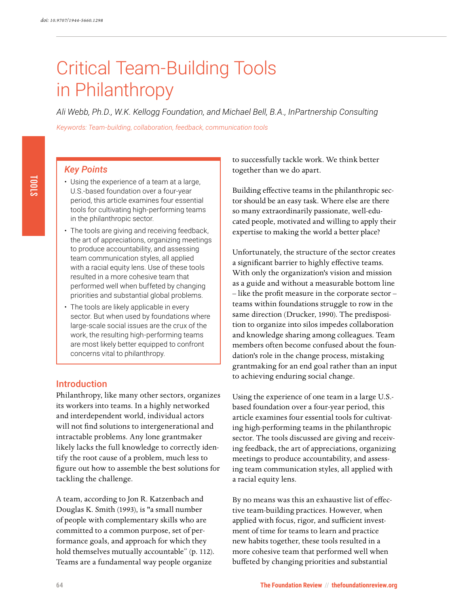# Critical Team-Building Tools in Philanthropy

*Ali Webb, Ph.D., W.K. Kellogg Foundation, and Michael Bell, B.A., InPartnership Consulting*

*Keywords: Team-building, collaboration, feedback, communication tools*

#### *Key Points*

- Using the experience of a team at a large, U.S.-based foundation over a four-year period, this article examines four essential tools for cultivating high-performing teams in the philanthropic sector.
- The tools are giving and receiving feedback, the art of appreciations, organizing meetings to produce accountability, and assessing team communication styles, all applied with a racial equity lens. Use of these tools resulted in a more cohesive team that performed well when buffeted by changing priorities and substantial global problems.
- The tools are likely applicable in every sector. But when used by foundations where large-scale social issues are the crux of the work, the resulting high-performing teams are most likely better equipped to confront concerns vital to philanthropy.

#### Introduction

Philanthropy, like many other sectors, organizes its workers into teams. In a highly networked and interdependent world, individual actors will not find solutions to intergenerational and intractable problems. Any lone grantmaker likely lacks the full knowledge to correctly identify the root cause of a problem, much less to figure out how to assemble the best solutions for tackling the challenge.

A team, according to Jon R. Katzenbach and Douglas K. Smith (1993), is "a small number of people with complementary skills who are committed to a common purpose, set of performance goals, and approach for which they hold themselves mutually accountable" (p. 112). Teams are a fundamental way people organize

to successfully tackle work. We think better together than we do apart.

Building effective teams in the philanthropic sector should be an easy task. Where else are there so many extraordinarily passionate, well-educated people, motivated and willing to apply their expertise to making the world a better place?

Unfortunately, the structure of the sector creates a significant barrier to highly effective teams. With only the organization's vision and mission as a guide and without a measurable bottom line – like the profit measure in the corporate sector – teams within foundations struggle to row in the same direction (Drucker, 1990). The predisposition to organize into silos impedes collaboration and knowledge sharing among colleagues. Team members often become confused about the foundation's role in the change process, mistaking grantmaking for an end goal rather than an input to achieving enduring social change.

Using the experience of one team in a large U.S. based foundation over a four-year period, this article examines four essential tools for cultivating high-performing teams in the philanthropic sector. The tools discussed are giving and receiving feedback, the art of appreciations, organizing meetings to produce accountability, and assessing team communication styles, all applied with a racial equity lens.

By no means was this an exhaustive list of effective team-building practices. However, when applied with focus, rigor, and sufficient investment of time for teams to learn and practice new habits together, these tools resulted in a more cohesive team that performed well when buffeted by changing priorities and substantial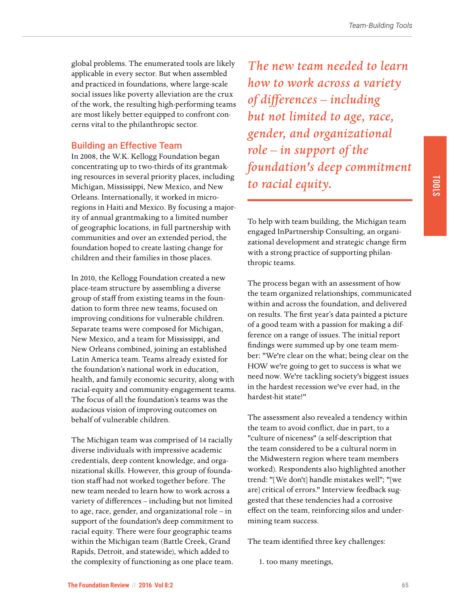global problems. The enumerated tools are likely applicable in every sector. But when assembled and practiced in foundations, where large-scale social issues like poverty alleviation are the crux of the work, the resulting high-performing teams are most likely better equipped to confront concerns vital to the philanthropic sector.

#### Building an Effective Team

In 2008, the W.K. Kellogg Foundation began concentrating up to two-thirds of its grantmaking resources in several priority places, including Michigan, Mississippi, New Mexico, and New Orleans. Internationally, it worked in microregions in Haiti and Mexico. By focusing a majority of annual grantmaking to a limited number of geographic locations, in full partnership with communities and over an extended period, the foundation hoped to create lasting change for children and their families in those places.

In 2010, the Kellogg Foundation created a new place-team structure by assembling a diverse group of staff from existing teams in the foundation to form three new teams, focused on improving conditions for vulnerable children. Separate teams were composed for Michigan, New Mexico, and a team for Mississippi, and New Orleans combined, joining an established Latin America team. Teams already existed for the foundation's national work in education, health, and family economic security, along with racial-equity and community-engagement teams. The focus of all the foundation's teams was the audacious vision of improving outcomes on behalf of vulnerable children.

The Michigan team was comprised of 14 racially diverse individuals with impressive academic credentials, deep content knowledge, and organizational skills. However, this group of foundation staff had not worked together before. The new team needed to learn how to work across a variety of differences - including but not limited to age, race, gender, and organizational role – in support of the foundation's deep commitment to racial equity. There were four geographic teams within the Michigan team (Battle Creek, Grand Rapids, Detroit, and statewide), which added to the complexity of functioning as one place team.

*The new team needed to learn how to work across a variety of di!erences – including but not limited to age, race, gender, and organizational role – in support of the foundation's deep commitment to racial equity.*

To help with team building, the Michigan team engaged InPartnership Consulting, an organizational development and strategic change firm with a strong practice of supporting philanthropic teams.

The process began with an assessment of how the team organized relationships, communicated within and across the foundation, and delivered on results. The first year's data painted a picture of a good team with a passion for making a difference on a range of issues. The initial report findings were summed up by one team member: "We're clear on the what; being clear on the HOW we're going to get to success is what we need now. We're tackling society's biggest issues in the hardest recession we've ever had, in the hardest-hit state!"

The assessment also revealed a tendency within the team to avoid conflict, due in part, to a "culture of niceness" (a self-description that the team considered to be a cultural norm in the Midwestern region where team members worked). Respondents also highlighted another trend: "[We don't] handle mistakes well"; "[we are] critical of errors." Interview feedback suggested that these tendencies had a corrosive effect on the team, reinforcing silos and undermining team success.

The team identified three key challenges:

1. too many meetings,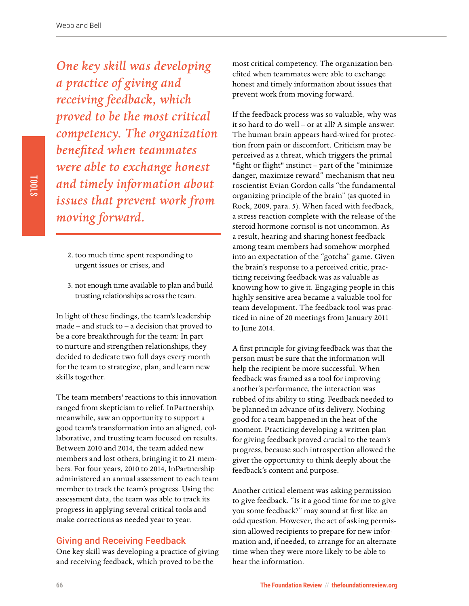*One key skill was developing a practice of giving and receiving feedback, which proved to be the most critical competency. The organization bene"ted when teammates were able to exchange honest and timely information about issues that prevent work from moving forward.*

- 2. too much time spent responding to urgent issues or crises, and
- 3. not enough time available to plan and build trusting relationships across the team.

In light of these findings, the team's leadership made – and stuck to – a decision that proved to be a core breakthrough for the team: In part to nurture and strengthen relationships, they decided to dedicate two full days every month for the team to strategize, plan, and learn new skills together.

The team members' reactions to this innovation ranged from skepticism to relief. InPartnership, meanwhile, saw an opportunity to support a good team's transformation into an aligned, collaborative, and trusting team focused on results. Between 2010 and 2014, the team added new members and lost others, bringing it to 21 members. For four years, 2010 to 2014, InPartnership administered an annual assessment to each team member to track the team's progress. Using the assessment data, the team was able to track its progress in applying several critical tools and make corrections as needed year to year.

#### Giving and Receiving Feedback

One key skill was developing a practice of giving and receiving feedback, which proved to be the

most critical competency. The organization benefited when teammates were able to exchange honest and timely information about issues that prevent work from moving forward.

If the feedback process was so valuable, why was it so hard to do well – or at all? A simple answer: The human brain appears hard-wired for protection from pain or discomfort. Criticism may be perceived as a threat, which triggers the primal "fight or flight" instinct – part of the "minimize danger, maximize reward" mechanism that neuroscientist Evian Gordon calls "the fundamental organizing principle of the brain" (as quoted in Rock, 2009, para. 5). When faced with feedback, a stress reaction complete with the release of the steroid hormone cortisol is not uncommon. As a result, hearing and sharing honest feedback among team members had somehow morphed into an expectation of the "gotcha" game. Given the brain's response to a perceived critic, practicing receiving feedback was as valuable as knowing how to give it. Engaging people in this highly sensitive area became a valuable tool for team development. The feedback tool was practiced in nine of 20 meetings from January 2011 to June 2014.

A first principle for giving feedback was that the person must be sure that the information will help the recipient be more successful. When feedback was framed as a tool for improving another's performance, the interaction was robbed of its ability to sting. Feedback needed to be planned in advance of its delivery. Nothing good for a team happened in the heat of the moment. Practicing developing a written plan for giving feedback proved crucial to the team's progress, because such introspection allowed the giver the opportunity to think deeply about the feedback's content and purpose.

Another critical element was asking permission to give feedback. "Is it a good time for me to give you some feedback?" may sound at first like an odd question. However, the act of asking permission allowed recipients to prepare for new information and, if needed, to arrange for an alternate time when they were more likely to be able to hear the information.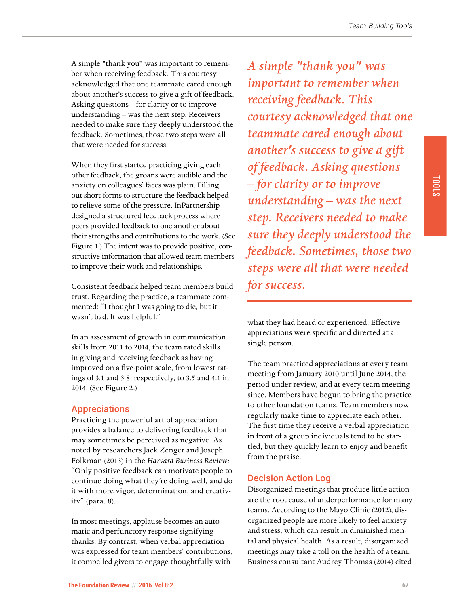A simple "thank you" was important to remember when receiving feedback. This courtesy acknowledged that one teammate cared enough about another's success to give a gift of feedback. Asking questions – for clarity or to improve understanding – was the next step. Receivers needed to make sure they deeply understood the feedback. Sometimes, those two steps were all that were needed for success.

When they first started practicing giving each other feedback, the groans were audible and the anxiety on colleagues' faces was plain. Filling out short forms to structure the feedback helped to relieve some of the pressure. InPartnership designed a structured feedback process where peers provided feedback to one another about their strengths and contributions to the work. (See Figure 1.) The intent was to provide positive, constructive information that allowed team members to improve their work and relationships.

Consistent feedback helped team members build trust. Regarding the practice, a teammate commented: "I thought I was going to die, but it wasn't bad. It was helpful."

In an assessment of growth in communication skills from 2011 to 2014, the team rated skills in giving and receiving feedback as having improved on a five-point scale, from lowest ratings of 3.1 and 3.8, respectively, to 3.5 and 4.1 in 2014. (See Figure 2.)

#### Appreciations

Practicing the powerful art of appreciation provides a balance to delivering feedback that may sometimes be perceived as negative. As noted by researchers Jack Zenger and Joseph Folkman (2013) in the *Harvard Business Review:* "Only positive feedback can motivate people to continue doing what they're doing well, and do it with more vigor, determination, and creativity" (para. 8).

In most meetings, applause becomes an automatic and perfunctory response signifying thanks. By contrast, when verbal appreciation was expressed for team members' contributions, it compelled givers to engage thoughtfully with

*A simple "thank you" was important to remember when receiving feedback. This courtesy acknowledged that one teammate cared enough about another's success to give a gift of feedback. Asking questions – for clarity or to improve understanding – was the next step. Receivers needed to make sure they deeply understood the feedback. Sometimes, those two steps were all that were needed for success.*

what they had heard or experienced. Effective appreciations were specific and directed at a single person.

The team practiced appreciations at every team meeting from January 2010 until June 2014, the period under review, and at every team meeting since. Members have begun to bring the practice to other foundation teams. Team members now regularly make time to appreciate each other. The first time they receive a verbal appreciation in front of a group individuals tend to be startled, but they quickly learn to enjoy and benefit from the praise.

#### Decision Action Log

Disorganized meetings that produce little action are the root cause of underperformance for many teams. According to the Mayo Clinic (2012), disorganized people are more likely to feel anxiety and stress, which can result in diminished mental and physical health. As a result, disorganized meetings may take a toll on the health of a team. Business consultant Audrey Thomas (2014) cited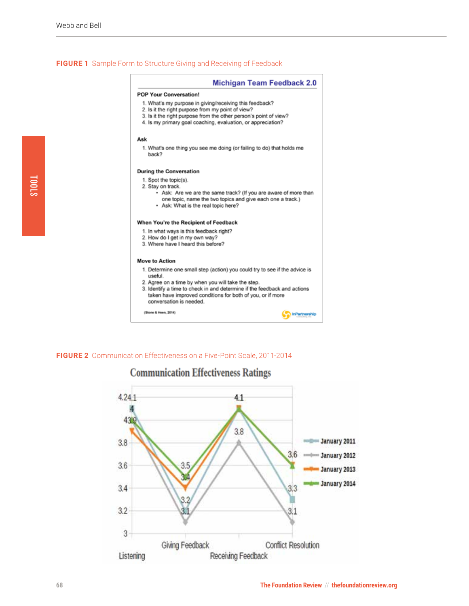#### **FIGURE 1** Sample Form to Structure Giving and Receiving of Feedback

|                       | <b>Michigan Team Feedback 2.0</b>                                                                                                                                                                                                                 |
|-----------------------|---------------------------------------------------------------------------------------------------------------------------------------------------------------------------------------------------------------------------------------------------|
|                       | <b>POP Your Conversation!</b>                                                                                                                                                                                                                     |
|                       | 1. What's my purpose in giving/receiving this feedback?<br>2. Is it the right purpose from my point of view?<br>3. Is it the right purpose from the other person's point of view?<br>4. Is my primary goal coaching, evaluation, or appreciation? |
| Ask                   |                                                                                                                                                                                                                                                   |
| back?                 | 1. What's one thing you see me doing (or failing to do) that holds me                                                                                                                                                                             |
|                       | <b>During the Conversation</b>                                                                                                                                                                                                                    |
|                       | 1. Spot the topic(s).                                                                                                                                                                                                                             |
|                       | 2. Stay on track.                                                                                                                                                                                                                                 |
|                       | • Ask: Are we are the same track? (If you are aware of more than<br>one topic, name the two topics and give each one a track.)<br>- Ask: What is the real topic here?                                                                             |
|                       | When You're the Recipient of Feedback                                                                                                                                                                                                             |
|                       | 1. In what ways is this feedback right?                                                                                                                                                                                                           |
|                       | 2. How do I get in my own way?                                                                                                                                                                                                                    |
|                       | 3. Where have I heard this before?                                                                                                                                                                                                                |
| <b>Move to Action</b> |                                                                                                                                                                                                                                                   |
|                       | 1. Determine one small step (action) you could try to see if the advice is                                                                                                                                                                        |
| useful.               |                                                                                                                                                                                                                                                   |
|                       | 2. Agree on a time by when you will take the step.                                                                                                                                                                                                |
|                       | 3. Identify a time to check in and determine if the feedback and actions<br>taken have improved conditions for both of you, or if more<br>conversation is needed.                                                                                 |
|                       |                                                                                                                                                                                                                                                   |

**FIGURE 2** Communication Effectiveness on a Five-Point Scale, 2011-2014

(Stone & Heen, 2014)



### **Communication Effectiveness Ratings**

**Contractorship**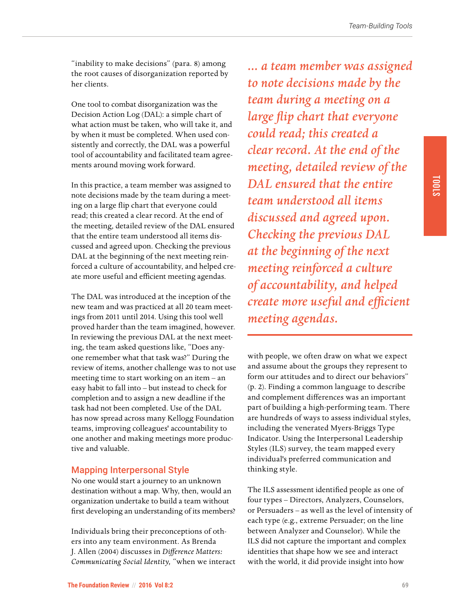"inability to make decisions" (para. 8) among the root causes of disorganization reported by her clients.

One tool to combat disorganization was the Decision Action Log (DAL): a simple chart of what action must be taken, who will take it, and by when it must be completed. When used consistently and correctly, the DAL was a powerful tool of accountability and facilitated team agreements around moving work forward.

In this practice, a team member was assigned to note decisions made by the team during a meeting on a large flip chart that everyone could read; this created a clear record. At the end of the meeting, detailed review of the DAL ensured that the entire team understood all items discussed and agreed upon. Checking the previous DAL at the beginning of the next meeting reinforced a culture of accountability, and helped create more useful and efficient meeting agendas.

The DAL was introduced at the inception of the new team and was practiced at all 20 team meetings from 2011 until 2014. Using this tool well proved harder than the team imagined, however. In reviewing the previous DAL at the next meeting, the team asked questions like, "Does anyone remember what that task was?" During the review of items, another challenge was to not use meeting time to start working on an item – an easy habit to fall into – but instead to check for completion and to assign a new deadline if the task had not been completed. Use of the DAL has now spread across many Kellogg Foundation teams, improving colleagues' accountability to one another and making meetings more productive and valuable.

#### Mapping Interpersonal Style

No one would start a journey to an unknown destination without a map. Why, then, would an organization undertake to build a team without first developing an understanding of its members?

Individuals bring their preconceptions of others into any team environment. As Brenda J. Allen (2004) discusses in *Di!erence Matters: Communicating Social Identity,* "when we interact

*... a team member was assigned to note decisions made by the team during a meeting on a large flip chart that everyone could read; this created a clear record. At the end of the meeting, detailed review of the DAL ensured that the entire team understood all items discussed and agreed upon. Checking the previous DAL at the beginning of the next meeting reinforced a culture of accountability, and helped create more useful and efficient meeting agendas.*

with people, we often draw on what we expect and assume about the groups they represent to form our attitudes and to direct our behaviors" (p. 2). Finding a common language to describe and complement differences was an important part of building a high-performing team. There are hundreds of ways to assess individual styles, including the venerated Myers-Briggs Type Indicator. Using the Interpersonal Leadership Styles (ILS) survey, the team mapped every individual's preferred communication and thinking style.

The ILS assessment identified people as one of four types – Directors, Analyzers, Counselors, or Persuaders – as well as the level of intensity of each type (e.g., extreme Persuader; on the line between Analyzer and Counselor). While the ILS did not capture the important and complex identities that shape how we see and interact with the world, it did provide insight into how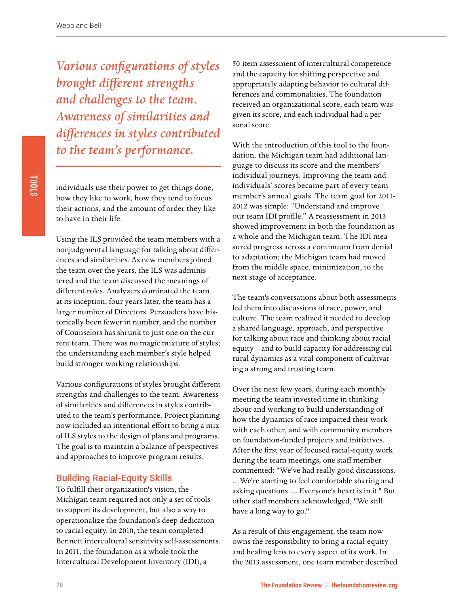*Various configurations of styles brought di!erent strengths and challenges to the team. Awareness of similarities and di!erences in styles contributed to the team's performance.*

individuals use their power to get things done, how they like to work, how they tend to focus their actions, and the amount of order they like to have in their life.

Using the ILS provided the team members with a nonjudgmental language for talking about differences and similarities. As new members joined the team over the years, the ILS was administered and the team discussed the meanings of different roles. Analyzers dominated the team at its inception; four years later, the team has a larger number of Directors. Persuaders have historically been fewer in number, and the number of Counselors has shrunk to just one on the current team. There was no magic mixture of styles; the understanding each member's style helped build stronger working relationships.

Various configurations of styles brought different strengths and challenges to the team. Awareness of similarities and differences in styles contributed to the team's performance. Project planning now included an intentional effort to bring a mix of ILS styles to the design of plans and programs. The goal is to maintain a balance of perspectives and approaches to improve program results.

#### Building Racial-Equity Skills

To fulfill their organization's vision, the Michigan team required not only a set of tools to support its development, but also a way to operationalize the foundation's deep dedication to racial equity. In 2010, the team completed Bennett intercultural sensitivity self-assessments. In 2011, the foundation as a whole took the Intercultural Development Inventory (IDI), a

50-item assessment of intercultural competence and the capacity for shifting perspective and appropriately adapting behavior to cultural differences and commonalities. The foundation received an organizational score, each team was given its score, and each individual had a personal score.

With the introduction of this tool to the foundation, the Michigan team had additional language to discuss its score and the members' individual journeys. Improving the team and individuals' scores became part of every team member's annual goals. The team goal for 2011- 2012 was simple: "Understand and improve our team IDI profile." A reassessment in 2013 showed improvement in both the foundation as a whole and the Michigan team. The IDI measured progress across a continuum from denial to adaptation; the Michigan team had moved from the middle space, minimization, to the next stage of acceptance.

The team's conversations about both assessments led them into discussions of race, power, and culture. The team realized it needed to develop a shared language, approach, and perspective for talking about race and thinking about racial equity – and to build capacity for addressing cultural dynamics as a vital component of cultivating a strong and trusting team.

Over the next few years, during each monthly meeting the team invested time in thinking about and working to build understanding of how the dynamics of race impacted their work – with each other, and with community members on foundation-funded projects and initiatives. After the first year of focused racial-equity work during the team meetings, one staff member commented: "We've had really good discussions. ... We're starting to feel comfortable sharing and asking questions. ... Everyone's heart is in it." But other staff members acknowledged, "We still have a long way to go."

As a result of this engagement, the team now owns the responsibility to bring a racial-equity and healing lens to every aspect of its work. In the 2013 assessment, one team member described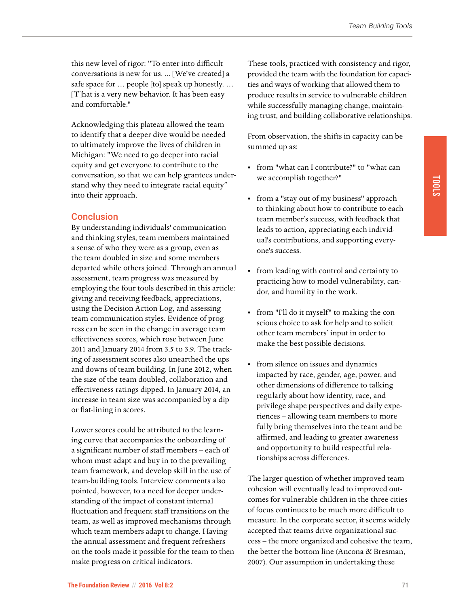this new level of rigor: "To enter into difficult conversations is new for us. ... [We've created] a safe space for … people [to] speak up honestly. … [T] hat is a very new behavior. It has been easy and comfortable."

Acknowledging this plateau allowed the team to identify that a deeper dive would be needed to ultimately improve the lives of children in Michigan: "We need to go deeper into racial equity and get everyone to contribute to the conversation, so that we can help grantees understand why they need to integrate racial equity" into their approach.

#### **Conclusion**

By understanding individuals' communication and thinking styles, team members maintained a sense of who they were as a group, even as the team doubled in size and some members departed while others joined. Through an annual assessment, team progress was measured by employing the four tools described in this article: giving and receiving feedback, appreciations, using the Decision Action Log, and assessing team communication styles. Evidence of progress can be seen in the change in average team effectiveness scores, which rose between June 2011 and January 2014 from 3.5 to 3.9. The tracking of assessment scores also unearthed the ups and downs of team building. In June 2012, when the size of the team doubled, collaboration and effectiveness ratings dipped. In January 2014, an increase in team size was accompanied by a dip or flat-lining in scores.

Lower scores could be attributed to the learning curve that accompanies the onboarding of a significant number of staff members – each of whom must adapt and buy in to the prevailing team framework, and develop skill in the use of team-building tools. Interview comments also pointed, however, to a need for deeper understanding of the impact of constant internal fluctuation and frequent staff transitions on the team, as well as improved mechanisms through which team members adapt to change. Having the annual assessment and frequent refreshers on the tools made it possible for the team to then make progress on critical indicators.

These tools, practiced with consistency and rigor, provided the team with the foundation for capacities and ways of working that allowed them to produce results in service to vulnerable children while successfully managing change, maintaining trust, and building collaborative relationships.

From observation, the shifts in capacity can be summed up as:

- from "what can I contribute?" to "what can we accomplish together?"
- from a "stay out of my business" approach to thinking about how to contribute to each team member's success, with feedback that leads to action, appreciating each individual's contributions, and supporting everyone's success.
- from leading with control and certainty to practicing how to model vulnerability, candor, and humility in the work.
- from "I'll do it myself" to making the conscious choice to ask for help and to solicit other team members' input in order to make the best possible decisions.
- from silence on issues and dynamics impacted by race, gender, age, power, and other dimensions of difference to talking regularly about how identity, race, and privilege shape perspectives and daily experiences – allowing team members to more fully bring themselves into the team and be affirmed, and leading to greater awareness and opportunity to build respectful relationships across differences.

The larger question of whether improved team cohesion will eventually lead to improved outcomes for vulnerable children in the three cities of focus continues to be much more difficult to measure. In the corporate sector, it seems widely accepted that teams drive organizational success – the more organized and cohesive the team, the better the bottom line (Ancona & Bresman, 2007). Our assumption in undertaking these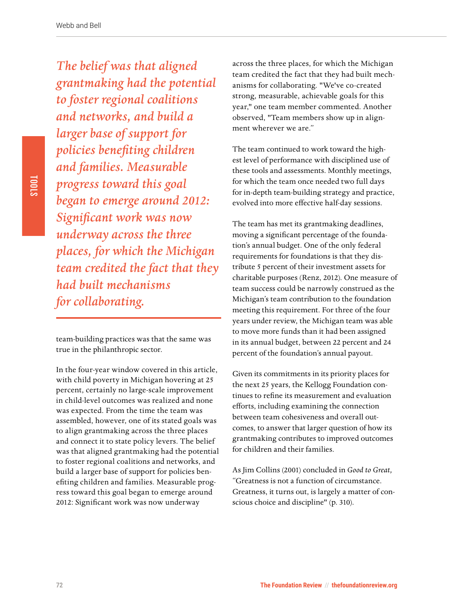*The belief was that aligned grantmaking had the potential to foster regional coalitions and networks, and build a larger base of support for*   $policies$  *benefiting children and families. Measurable progress toward this goal began to emerge around 2012: Signi"cant work was now underway across the three places, for which the Michigan team credited the fact that they had built mechanisms for collaborating.*

team-building practices was that the same was true in the philanthropic sector.

In the four-year window covered in this article, with child poverty in Michigan hovering at 25 percent, certainly no large-scale improvement in child-level outcomes was realized and none was expected. From the time the team was assembled, however, one of its stated goals was to align grantmaking across the three places and connect it to state policy levers. The belief was that aligned grantmaking had the potential to foster regional coalitions and networks, and build a larger base of support for policies benefiting children and families. Measurable progress toward this goal began to emerge around 2012: Significant work was now underway

across the three places, for which the Michigan team credited the fact that they had built mechanisms for collaborating. "We've co-created strong, measurable, achievable goals for this year," one team member commented. Another observed, "Team members show up in alignment wherever we are."

The team continued to work toward the highest level of performance with disciplined use of these tools and assessments. Monthly meetings, for which the team once needed two full days for in-depth team-building strategy and practice, evolved into more effective half-day sessions.

The team has met its grantmaking deadlines, moving a significant percentage of the foundation's annual budget. One of the only federal requirements for foundations is that they distribute 5 percent of their investment assets for charitable purposes (Renz, 2012). One measure of team success could be narrowly construed as the Michigan's team contribution to the foundation meeting this requirement. For three of the four years under review, the Michigan team was able to move more funds than it had been assigned in its annual budget, between 22 percent and 24 percent of the foundation's annual payout.

Given its commitments in its priority places for the next 25 years, the Kellogg Foundation continues to refine its measurement and evaluation efforts, including examining the connection between team cohesiveness and overall outcomes, to answer that larger question of how its grantmaking contributes to improved outcomes for children and their families.

As Jim Collins (2001) concluded in *Good to Great,*  "Greatness is not a function of circumstance. Greatness, it turns out, is largely a matter of conscious choice and discipline" (p. 310).